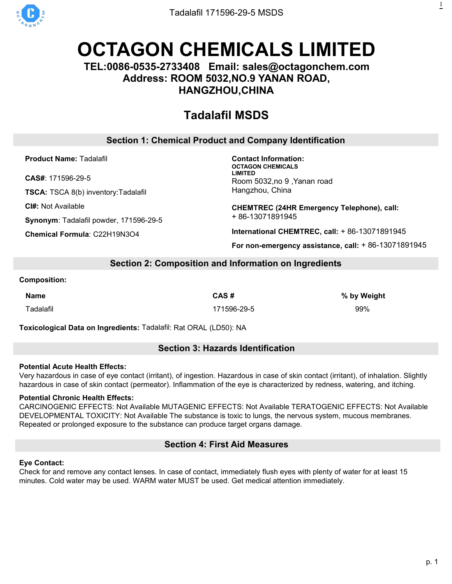

# **OCTAGON [CHEMICALS](https://octagonchem.com) LIMITED**

# **TEL:0086-0535-2733408 Email: sales@octagonchem.com Address: ROOM 5032,NO.9 YANAN ROAD, HANGZHOU,CHINA**

# **[Tadalafil](https://octagonchem.com/tianeptine-sulfate/) MSDS**

# **Section 1: Chemical Product and Company Identification**

**Product Name:** Tadalafil

**CAS#**: 171596-29-5

**TSCA:** TSCA 8(b) inventory:Tadalafil

**CI#:** Not Available

**Synonym**: Tadalafil powder, 171596-29-5

**Chemical Formula**: C22H19N3O4

**Contact Information: OCTAGON CHEMICALS LIMITED** Room 5032,no 9 ,Yanan road Hangzhou, China

**CHEMTREC (24HR Emergency Telephone), call:** + 86-13071891945

**International CHEMTREC, call:** + 86-13071891945

**For non-emergency assistance, call:** + 86-13071891945

# **Section 2: Composition and Information on Ingredients**

#### **Composition:**

Tadalafil 171596-29-5 99%

**Name CAS # % by Weight**

**Toxicological Data on Ingredients:** Tadalafil: Rat ORAL (LD50): NA

# **Section 3: Hazards Identification**

#### **Potential Acute Health Effects:**

Very hazardous in case of eye contact (irritant), of ingestion. Hazardous in case of skin contact (irritant), of inhalation. Slightly hazardous in case of skin contact (permeator). Inflammation of the eye is characterized by redness, watering, and itching.

# **Potential Chronic Health Effects:**

CARCINOGENIC EFFECTS: Not Available MUTAGENIC EFFECTS: Not Available TERATOGENIC EFFECTS: Not Available DEVELOPMENTAL TOXICITY: Not Available The substance is toxic to lungs, the nervous system, mucous membranes. Repeated or prolonged exposure to the substance can produce target organs damage.

# **Section 4: First Aid Measures**

# **Eye Contact:**

Check for and remove any contact lenses. In case of contact, immediately flush eyes with plenty of water for at least 15 minutes. Cold water may be used. WARM water MUST be used. Get medical attention immediately.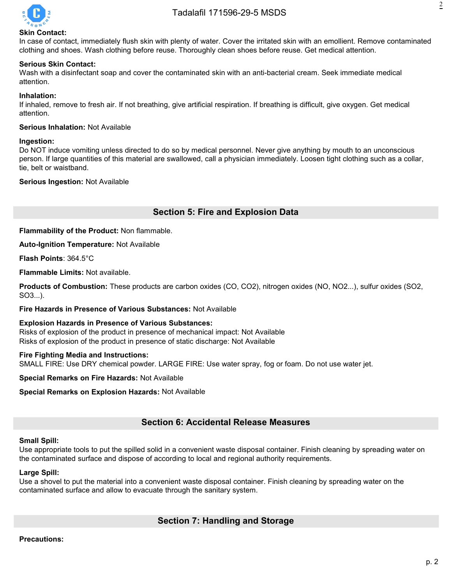

#### **Skin Contact:**

In case of contact, immediately flush skin with plenty of water. Cover the irritated skin with an emollient. Remove contaminated clothing and shoes. Wash clothing before reuse. Thoroughly clean shoes before reuse. Get medical attention.

#### **Serious Skin Contact:**

Wash with a disinfectant soap and cover the contaminated skin with an anti-bacterial cream. Seek immediate medical attention.

#### **Inhalation:**

If inhaled, remove to fresh air. If not breathing, give artificial respiration. If breathing is difficult, give oxygen. Get medical attention.

#### **Serious Inhalation:** Not Available

#### **Ingestion:**

Do NOT induce vomiting unless directed to do so by medical personnel. Never give anything by mouth to an unconscious person. If large quantities of this material are swallowed, call a physician immediately. Loosen tight clothing such as a collar, tie, belt or waistband.

#### **Serious Ingestion:** Not Available

# **Section 5: Fire and Explosion Data**

**Flammability of the Product:** Non flammable.

**Auto-Ignition Temperature:** Not Available

**Flash Points**: 364.5°C

**Flammable Limits:** Not available.

**Products of Combustion:** These products are carbon oxides (CO, CO2), nitrogen oxides (NO, NO2...), sulfur oxides (SO2, SO3...).

#### **Fire Hazards in Presence of Various Substances:** Not Available

**Explosion Hazards in Presence of Various Substances:** Risks of explosion of the product in presence of mechanical impact: Not Available Risks of explosion of the product in presence of static discharge: Not Available

#### **Fire Fighting Media and Instructions:**

SMALL FIRE: Use DRY chemical powder. LARGE FIRE: Use water spray, fog or foam. Do not use water jet.

**Special Remarks on Fire Hazards:** Not Available

**Special Remarks on Explosion Hazards: Not Available** 

# **Section 6: Accidental Release Measures**

#### **Small Spill:**

Use appropriate tools to put the spilled solid in a convenient waste disposal container. Finish cleaning by spreading water on the contaminated surface and dispose of according to local and regional authority requirements.

#### **Large Spill:**

Use a shovel to put the material into a convenient waste disposal container. Finish cleaning by spreading water on the contaminated surface and allow to evacuate through the sanitary system.

# **Section 7: Handling and Storage**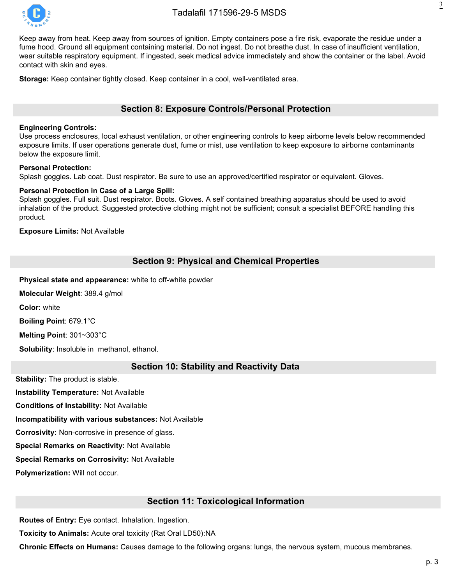

Keep away from heat. Keep away from sources of ignition. Empty containers pose a fire risk, evaporate the residue under a fume hood. Ground all equipment containing material. Do not ingest. Do not breathe dust. In case of insufficient ventilation, wear suitable respiratory equipment. If ingested, seek medical advice immediately and show the container or the label. Avoid contact with skin and eyes.

**Storage:** Keep container tightly closed. Keep container in a cool, well-ventilated area.

# **Section 8: Exposure Controls/Personal Protection**

#### **Engineering Controls:**

Use process enclosures, local exhaust ventilation, or other engineering controls to keep airborne levels below recommended exposure limits. If user operations generate dust, fume or mist, use ventilation to keep exposure to airborne contaminants below the exposure limit.

#### **Personal Protection:**

Splash goggles. Lab coat. Dust respirator. Be sure to use an approved/certified respirator or equivalent. Gloves.

#### **Personal Protection in Case of a Large Spill:**

Splash goggles. Full suit. Dust respirator. Boots. Gloves. A self contained breathing apparatus should be used to avoid inhalation of the product. Suggested protective clothing might not be sufficient; consult a specialist BEFORE handling this product.

**Exposure Limits:** Not Available

# **Section 9: Physical and Chemical Properties**

**Physical state and appearance:** white to off-white powder

**Molecular Weight**: 389.4 g/mol

**Color:** white

**Boiling Point**: 679.1°C

**Melting Point**: 301~303°C

**Solubility**: Insoluble in methanol, ethanol.

#### **Section 10: Stability and Reactivity Data**

**Stability:** The product is stable.

**Instability Temperature:** Not Available

**Conditions of Instability:** Not Available

**Incompatibility with various substances:** Not Available

**Corrosivity:** Non-corrosive in presence of glass.

**Special Remarks on Reactivity:** Not Available

**Special Remarks on Corrosivity:** Not Available

**Polymerization:** Will not occur.

#### **Section 11: Toxicological Information**

**Routes of Entry:** Eye contact. Inhalation. Ingestion.

**Toxicity to Animals:** Acute oral toxicity (Rat Oral LD50):NA

**Chronic Effects on Humans:** Causes damage to the following organs: lungs, the nervous system, mucous membranes.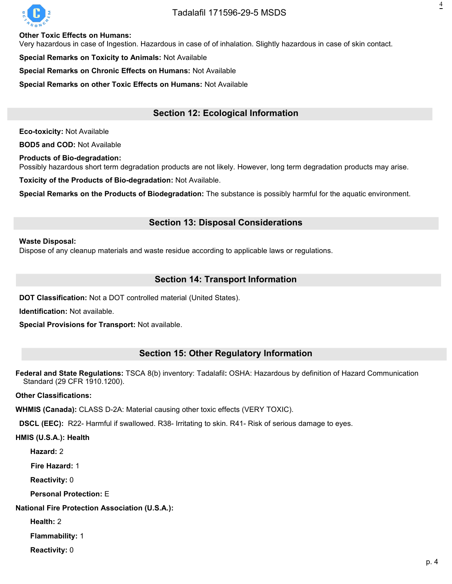

# Tadalafil [171596-29-5](https://octagonchem.com/tadalafil/) MSDS

**Other Toxic Effects on Humans:**

Very hazardous in case of Ingestion. Hazardous in case of of inhalation. Slightly hazardous in case of skin contact.

**Special Remarks on Toxicity to Animals: Not Available** 

**Special Remarks on Chronic Effects on Humans:** Not Available

**Special Remarks on other Toxic Effects on Humans:** Not Available

# **Section 12: Ecological Information**

**Eco-toxicity:** Not Available

**BOD5 and COD:** Not Available

**Products of Bio-degradation:**

Possibly hazardous short term degradation products are not likely. However, long term degradation products may arise.

**Toxicity of the Products of Bio-degradation:** Not Available.

**Special Remarks on the Products of Biodegradation:** The substance is possibly harmful for the aquatic environment.

#### **Section 13: Disposal Considerations**

#### **Waste Disposal:**

Dispose of any cleanup materials and waste residue according to applicable laws or regulations.

# **Section 14: Transport Information**

**DOT Classification:** Not a DOT controlled material (United States).

**Identification:** Not available.

**Special Provisions for Transport:** Not available.

#### **Section 15: Other Regulatory Information**

**Federal and State Regulations:** TSCA 8(b) inventory: Tadalafil**:** OSHA: Hazardous by definition of Hazard Communication Standard (29 CFR 1910.1200).

**Other Classifications:**

**WHMIS (Canada):** CLASS D-2A: Material causing other toxic effects (VERY TOXIC).

**DSCL (EEC):** R22- Harmful if swallowed. R38- Irritating to skin. R41- Risk of serious damage to eyes.

**HMIS (U.S.A.): Health**

**Hazard:** 2

**Fire Hazard:** 1

**Reactivity:** 0

**Personal Protection:** E

**National Fire Protection Association (U.S.A.):**

**Health:** 2

**Flammability:** 1

**Reactivity:** 0